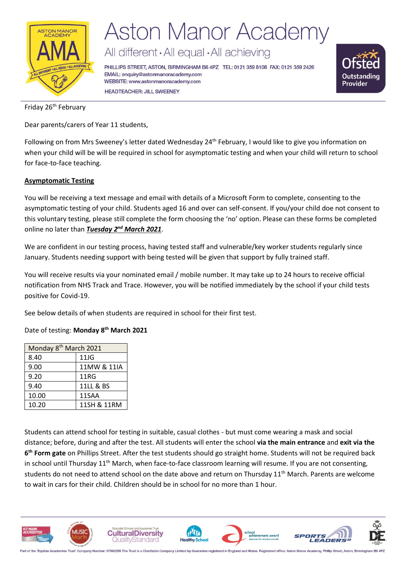

# **Aston Manor Academy**

All different · All equal · All achieving

PHILLIPS STREET, ASTON, BIRMINGHAM B6 4PZ TEL: 0121 359 8108 FAX: 0121 359 2426 EMAIL: enquiry@astonmanoracademy.com WEBSITE: www.astonmanoracademy.com **HEADTEACHER: JILL SWEENEY** 



Friday 26<sup>th</sup> February

Dear parents/carers of Year 11 students,

Following on from Mrs Sweeney's letter dated Wednesday 24<sup>th</sup> February, I would like to give you information on when your child will be will be required in school for asymptomatic testing and when your child will return to school for face-to-face teaching.

### **Asymptomatic Testing**

You will be receiving a text message and email with details of a Microsoft Form to complete, consenting to the asymptomatic testing of your child. Students aged 16 and over can self-consent. If you/your child doe not consent to this voluntary testing, please still complete the form choosing the 'no' option. Please can these forms be completed online no later than *Tuesday 2nd March 2021*.

We are confident in our testing process, having tested staff and vulnerable/key worker students regularly since January. Students needing support with being tested will be given that support by fully trained staff.

You will receive results via your nominated email / mobile number. It may take up to 24 hours to receive official notification from NHS Track and Trace. However, you will be notified immediately by the school if your child tests positive for Covid-19.

See below details of when students are required in school for their first test.

Date of testing: **Monday 8th March 2021**

| Monday 8 <sup>th</sup> March 2021 |             |  |  |
|-----------------------------------|-------------|--|--|
| 8.40                              | 11JG        |  |  |
| 9.00                              | 11MW & 11IA |  |  |
| 9.20                              | <b>11RG</b> |  |  |
| 9.40                              | 11LL & BS   |  |  |
| 10.00                             | 11SAA       |  |  |
| 10.20                             | 11SH & 11RM |  |  |

Students can attend school for testing in suitable, casual clothes - but must come wearing a mask and social distance; before, during and after the test. All students will enter the school **via the main entrance** and **exit via the 6 th Form gate** on Phillips Street. After the test students should go straight home. Students will not be required back in school until Thursday 11<sup>th</sup> March, when face-to-face classroom learning will resume. If you are not consenting, students do not need to attend school on the date above and return on Thursday 11<sup>th</sup> March. Parents are welcome to wait in cars for their child. Children should be in school for no more than 1 hour.



art of the 'Equitas Academies Trust' Company Number: 07662289 The Trust is a Charitable Company Limited by Guarantee registered in England and Wales. Registered office: Aston Manor Acad my, Phillip Street, Aston, Birming